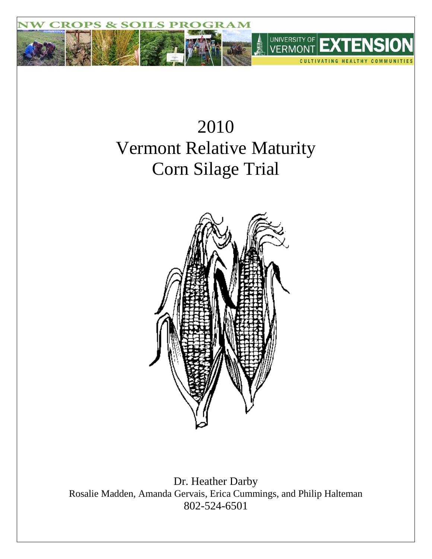

# 2010 Vermont Relative Maturity Corn Silage Trial



Dr. Heather Darby Rosalie Madden, Amanda Gervais, Erica Cummings, and Philip Halteman 802-524-6501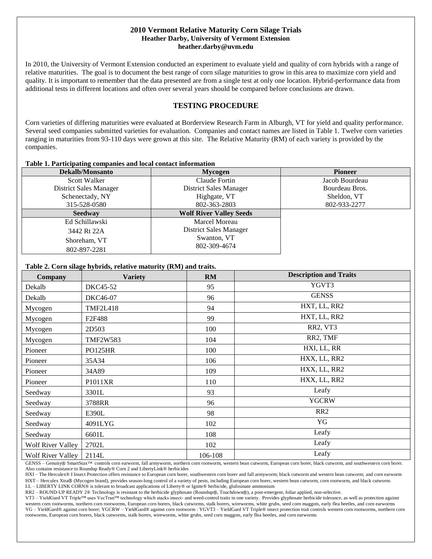### **2010 Vermont Relative Maturity Corn Silage Trials Heather Darby, University of Vermont Extension heather.darby@uvm.edu**

In 2010, the University of Vermont Extension conducted an experiment to evaluate yield and quality of corn hybrids with a range of relative maturities. The goal is to document the best range of corn silage maturities to grow in this area to maximize corn yield and quality. It is important to remember that the data presented are from a single test at only one location. Hybrid-performance data from additional tests in different locations and often over several years should be compared before conclusions are drawn.

# **TESTING PROCEDURE**

Corn varieties of differing maturities were evaluated at Borderview Research Farm in Alburgh, VT for yield and quality performance. Several seed companies submitted varieties for evaluation. Companies and contact names are listed in Table 1. Twelve corn varieties ranging in maturities from 93-110 days were grown at this site. The Relative Maturity (RM) of each variety is provided by the companies.

#### **Table 1. Participating companies and local contact information**

| <b>Dekalb/Monsanto</b>        | Mycogen                        | <b>Pioneer</b> |
|-------------------------------|--------------------------------|----------------|
| Scott Walker                  | Claude Fortin                  | Jacob Bourdeau |
| <b>District Sales Manager</b> | <b>District Sales Manager</b>  | Bourdeau Bros. |
| Schenectady, NY               | Highgate, VT                   | Sheldon, VT    |
| 315-528-0580                  | 802-363-2803                   | 802-933-2277   |
| <b>Seedway</b>                | <b>Wolf River Valley Seeds</b> |                |
| Ed Schillawski                | Marcel Moreau                  |                |
| 3442 Rt 22A                   | District Sales Manager         |                |
| Shoreham, VT                  | Swanton, VT                    |                |
| 802-897-2281                  | 802-309-4674                   |                |

#### **Table 2. Corn silage hybrids, relative maturity (RM) and traits.**

| <b>Company</b>    | <b>Variety</b>  | RM      | <b>Description and Traits</b> |
|-------------------|-----------------|---------|-------------------------------|
| Dekalb            | DKC45-52        | 95      | YGVT3                         |
| Dekalb            | DKC46-07        | 96      | <b>GENSS</b>                  |
| Mycogen           | <b>TMF2L418</b> | 94      | HXT, LL, RR2                  |
| Mycogen           | F2F488          | 99      | HXT, LL, RR2                  |
| Mycogen           | 2D503           | 100     | RR2, VT3                      |
| Mycogen           | <b>TMF2W583</b> | 104     | RR2, TMF                      |
| Pioneer           | PO125HR         | 100     | HXI, LL, RR                   |
| Pioneer           | 35A34           | 106     | HXX, LL, RR2                  |
| Pioneer           | 34A89           | 109     | HXX, LL, RR2                  |
| Pioneer           | P1011XR         | 110     | HXX, LL, RR2                  |
| Seedway           | 3301L           | 93      | Leafy                         |
| Seedway           | 3788RR          | 96      | <b>YGCRW</b>                  |
| Seedway           | E390L           | 98      | RR <sub>2</sub>               |
| Seedway           | 4091LYG         | 102     | YG                            |
| Seedway           | 6601L           | 108     | Leafy                         |
| Wolf River Valley | 2702L           | 102     | Leafy                         |
| Wolf River Valley | 2114L           | 106-108 | Leafy                         |

GENSS - Genuity® SmartStax™ controls corn earworm, fall armyworm, northern corn rootworm, western bean cutworm, European corn borer, black cutworm, and southwestern corn borer. Also contains resistance to Roundup Ready® Corn 2 and LibertyLink® herbicides

HXI – The Herculex® I Insect Protection offers resistance to European corn borer, southwestern corn borer and fall armyworm; black cutworm and western bean cutworm; and corn earworm HXT - Herculex Xtra® (Mycogen brand), provides season-long control of a variety of pests, including European corn borer, western bean cutworm, corn rootworm, and black cutworm.

LL – LIBERTY LINK CORN® is tolerant to broadcast applications of Liberty® or Ignite® herbicide, glufosinate ammonium

RR2 - ROUND-UP READY 2® Technology is resistant to the herbicide glyphosate (Roundup®, Touchdown®), a post-emergent, foliar applied, non-selective.

VT3 – YieldGard VT Triple™ uses VecTran™ technology which stacks insect- and weed-control traits in one variety. Provides glyphosate herbicide tolerance, as well as protection against western corn rootworms, northern corn rootworms, European corn borers, black cutworms, stalk borers, wireworms, white grubs, seed corn maggots, early flea beetles, and corn earworms YG – YieldGard® against corn borer; YGCRW – YieldGard® against corn rootworm : YGVT3 – YieldGard VT Triple® insect protection trait controls western corn rootworms, northern corn rootworms, European corn borers, black cutworms, stalk borers, wireworms, white grubs, seed corn maggots, early flea beetles, and corn earworms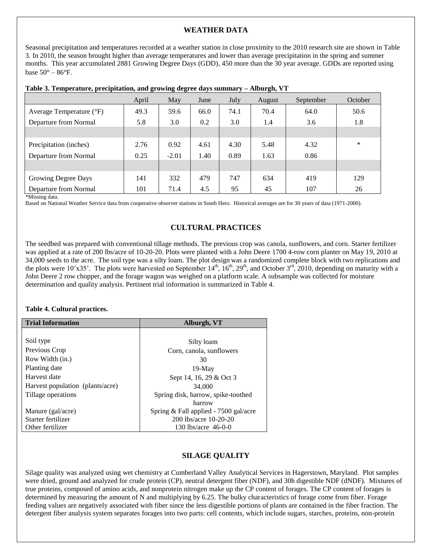## **WEATHER DATA**

Seasonal precipitation and temperatures recorded at a weather station in close proximity to the 2010 research site are shown in Table 3. In 2010, the season brought higher than average temperatures and lower than average precipitation in the spring and summer months. This year accumulated 2881 Growing Degree Days (GDD), 450 more than the 30 year average. GDDs are reported using base  $50^{\circ} - 86^{\circ}$ F.

|                          | April | May     | June | July | August | September | October |  |
|--------------------------|-------|---------|------|------|--------|-----------|---------|--|
| Average Temperature (°F) | 49.3  | 59.6    | 66.0 | 74.1 | 70.4   | 64.0      | 50.6    |  |
| Departure from Normal    | 5.8   | 3.0     | 0.2  | 3.0  | 1.4    | 3.6       | 1.8     |  |
|                          |       |         |      |      |        |           |         |  |
| Precipitation (inches)   | 2.76  | 0.92    | 4.61 | 4.30 | 5.48   | 4.32      | $\ast$  |  |
| Departure from Normal    | 0.25  | $-2.01$ | 1.40 | 0.89 | 1.63   | 0.86      |         |  |
|                          |       |         |      |      |        |           |         |  |
| Growing Degree Days      | 141   | 332     | 479  | 747  | 634    | 419       | 129     |  |
| Departure from Normal    | 101   | 71.4    | 4.5  | 95   | 45     | 107       | 26      |  |

|  |  | Table 3. Temperature, precipitation, and growing degree days summary - Alburgh, VT |  |
|--|--|------------------------------------------------------------------------------------|--|
|  |  |                                                                                    |  |

\*Missing data.

Based on National Weather Service data from cooperative observer stations in South Hero. Historical averages are for 30 years of data (1971-2000).

## **CULTURAL PRACTICES**

The seedbed was prepared with conventional tillage methods. The previous crop was canola, sunflowers, and corn. Starter fertilizer was applied at a rate of 200 lbs/acre of 10-20-20. Plots were planted with a John Deere 1700 4-row corn planter on May 19, 2010 at 34,000 seeds to the acre. The soil type was a silty loam. The plot design was a randomized complete block with two replications and the plots were 10'x35'. The plots were harvested on September  $14<sup>th</sup>$ ,  $16<sup>th</sup>$ ,  $29<sup>th</sup>$ , and October  $3<sup>rd</sup>$ ,  $2010$ , depending on maturity with a John Deere 2 row chopper, and the forage wagon was weighed on a platform scale. A subsample was collected for moisture determination and quality analysis. Pertinent trial information is summarized in Table 4.

#### **Table 4. Cultural practices.**

| <b>Trial Information</b>         | Alburgh, VT                           |
|----------------------------------|---------------------------------------|
|                                  |                                       |
| Soil type                        | Silty loam                            |
| Previous Crop                    | Corn, canola, sunflowers              |
| Row Width (in.)                  | 30                                    |
| Planting date                    | $19-Mav$                              |
| Harvest date                     | Sept 14, 16, 29 & Oct 3               |
| Harvest population (plants/acre) | 34,000                                |
| Tillage operations               | Spring disk, harrow, spike-toothed    |
|                                  | harrow                                |
| Manure (gal/acre)                | Spring & Fall applied - 7500 gal/acre |
| Starter fertilizer               | 200 lbs/acre 10-20-20                 |
| Other fertilizer                 | 130 lbs/acre 46-0-0                   |

## **SILAGE QUALITY**

Silage quality was analyzed using wet chemistry at Cumberland Valley Analytical Services in Hagerstown, Maryland. Plot samples were dried, ground and analyzed for crude protein (CP), neutral detergent fiber (NDF), and 30h digestible NDF (dNDF). Mixtures of true proteins, composed of amino acids, and nonprotein nitrogen make up the CP content of forages. The CP content of forages is determined by measuring the amount of N and multiplying by 6.25. The bulky characteristics of forage come from fiber. Forage feeding values are negatively associated with fiber since the less digestible portions of plants are contained in the fiber fraction. The detergent fiber analysis system separates forages into two parts: cell contents, which include sugars, starches, proteins, non-protein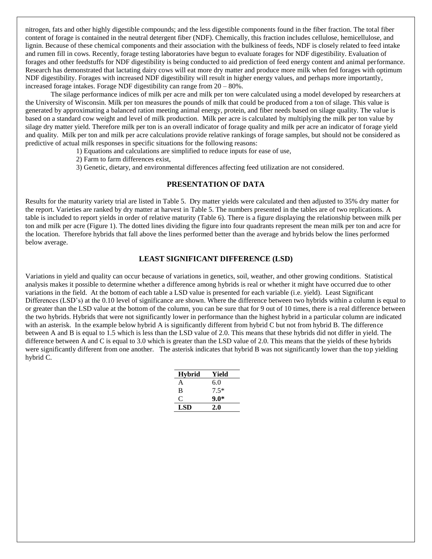nitrogen, fats and other highly digestible compounds; and the less digestible components found in the fiber fraction. The total fiber content of forage is contained in the neutral detergent fiber (NDF). Chemically, this fraction includes cellulose, hemicellulose, and lignin. Because of these chemical components and their association with the bulkiness of feeds, NDF is closely related to feed intake and rumen fill in cows. Recently, forage testing laboratories have begun to evaluate forages for NDF digestibility. Evaluation of forages and other feedstuffs for NDF digestibility is being conducted to aid prediction of feed energy content and animal performance. Research has demonstrated that lactating dairy cows will eat more dry matter and produce more milk when fed forages with optimum NDF digestibility. Forages with increased NDF digestibility will result in higher energy values, and perhaps more importantly, increased forage intakes. Forage NDF digestibility can range from 20 – 80%.

The silage performance indices of milk per acre and milk per ton were calculated using a model developed by researchers at the University of Wisconsin. Milk per ton measures the pounds of milk that could be produced from a ton of silage. This value is generated by approximating a balanced ration meeting animal energy, protein, and fiber needs based on silage quality. The value is based on a standard cow weight and level of milk production. Milk per acre is calculated by multiplying the milk per ton value by silage dry matter yield. Therefore milk per ton is an overall indicator of forage quality and milk per acre an indicator of forage yield and quality. Milk per ton and milk per acre calculations provide relative rankings of forage samples, but should not be considered as predictive of actual milk responses in specific situations for the following reasons:

1) Equations and calculations are simplified to reduce inputs for ease of use,

2) Farm to farm differences exist,

3) Genetic, dietary, and environmental differences affecting feed utilization are not considered.

## **PRESENTATION OF DATA**

Results for the maturity variety trial are listed in Table 5. Dry matter yields were calculated and then adjusted to 35% dry matter for the report. Varieties are ranked by dry matter at harvest in Table 5. The numbers presented in the tables are of two replications. A table is included to report yields in order of relative maturity (Table 6). There is a figure displaying the relationship between milk per ton and milk per acre (Figure 1). The dotted lines dividing the figure into four quadrants represent the mean milk per ton and acre for the location. Therefore hybrids that fall above the lines performed better than the average and hybrids below the lines performed below average.

#### **LEAST SIGNIFICANT DIFFERENCE (LSD)**

Variations in yield and quality can occur because of variations in genetics, soil, weather, and other growing conditions. Statistical analysis makes it possible to determine whether a difference among hybrids is real or whether it might have occurred due to other variations in the field. At the bottom of each table a LSD value is presented for each variable (i.e. yield). Least Significant Differences (LSD's) at the 0.10 level of significance are shown. Where the difference between two hybrids within a column is equal to or greater than the LSD value at the bottom of the column, you can be sure that for 9 out of 10 times, there is a real difference between the two hybrids. Hybrids that were not significantly lower in performance than the highest hybrid in a particular column are indicated with an asterisk. In the example below hybrid A is significantly different from hybrid C but not from hybrid B. The difference between A and B is equal to 1.5 which is less than the LSD value of 2.0. This means that these hybrids did not differ in yield. The difference between A and C is equal to 3.0 which is greater than the LSD value of 2.0. This means that the yields of these hybrids were significantly different from one another. The asterisk indicates that hybrid B was not significantly lower than the top yielding hybrid C.

| <b>Hybrid</b> | Yield  |
|---------------|--------|
| A             | 6.0    |
| R             | $7.5*$ |
| €             | $9.0*$ |
| LSD           | 2.0    |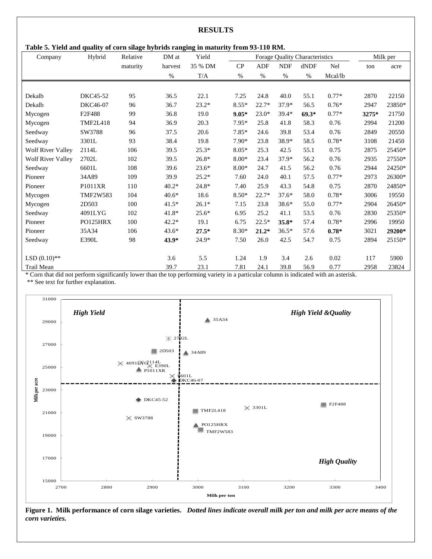**Table 5. Yield and quality of corn silage hybrids ranging in maturity from 93-110 RM.**

| Company                  | Hybrid          | Relative | DM at   | Yield   | Forage Quality Characteristics |            |            |         | Milk per   |       |        |
|--------------------------|-----------------|----------|---------|---------|--------------------------------|------------|------------|---------|------------|-------|--------|
|                          |                 | maturity | harvest | 35 % DM | CP                             | <b>ADF</b> | <b>NDF</b> | dNDF    | <b>Nel</b> | ton   | acre   |
|                          |                 |          | $\%$    | T/A     | $\%$                           | $\%$       | $\%$       | $\%$    | Mcal/lb    |       |        |
|                          |                 |          |         |         |                                |            |            |         |            |       |        |
| Dekalb                   | DKC45-52        | 95       | 36.5    | 22.1    | 7.25                           | 24.8       | 40.0       | 55.1    | $0.77*$    | 2870  | 22150  |
| Dekalb                   | DKC46-07        | 96       | 36.7    | $23.2*$ | $8.55*$                        | $22.7*$    | 37.9*      | 56.5    | $0.76*$    | 2947  | 23850* |
| Mycogen                  | F2F488          | 99       | 36.8    | 19.0    | $9.05*$                        | $23.0*$    | $39.4*$    | $69.3*$ | $0.77*$    | 3275* | 21750  |
| Mycogen                  | <b>TMF2L418</b> | 94       | 36.9    | 20.3    | $7.95*$                        | 25.8       | 41.8       | 58.3    | 0.76       | 2994  | 21200  |
| Seedway                  | SW3788          | 96       | 37.5    | 20.6    | $7.85*$                        | 24.6       | 39.8       | 53.4    | 0.76       | 2849  | 20550  |
| Seedway                  | 3301L           | 93       | 38.4    | 19.8    | $7.90*$                        | 23.8       | 38.9*      | 58.5    | $0.78*$    | 3108  | 21450  |
| <b>Wolf River Valley</b> | 2114L           | 106      | 39.5    | $25.3*$ | $8.05*$                        | 25.3       | 42.5       | 55.1    | 0.75       | 2875  | 25450* |
| <b>Wolf River Valley</b> | 2702L           | 102      | 39.5    | $26.8*$ | $8.00*$                        | 23.4       | 37.9*      | 56.2    | 0.76       | 2935  | 27550* |
| Seedway                  | 6601L           | 108      | 39.6    | $23.6*$ | $8.00*$                        | 24.7       | 41.5       | 56.2    | 0.76       | 2944  | 24250* |
| Pioneer                  | 34A89           | 109      | 39.9    | $25.2*$ | 7.60                           | 24.0       | 40.1       | 57.5    | $0.77*$    | 2973  | 26300* |
| Pioneer                  | P1011XR         | 110      | $40.2*$ | $24.8*$ | 7.40                           | 25.9       | 43.3       | 54.8    | 0.75       | 2870  | 24850* |
| Mycogen                  | <b>TMF2W583</b> | 104      | $40.6*$ | 18.6    | $8.50*$                        | $22.7*$    | $37.6*$    | 58.0    | $0.78*$    | 3006  | 19550  |
| Mycogen                  | 2D503           | 100      | $41.5*$ | $26.1*$ | 7.15                           | 23.8       | 38.6*      | 55.0    | $0.77*$    | 2904  | 26450* |
| Seedway                  | 4091LYG         | 102      | $41.8*$ | $25.6*$ | 6.95                           | 25.2       | 41.1       | 53.5    | 0.76       | 2830  | 25350* |
| Pioneer                  | PO125HRX        | 100      | $42.2*$ | 19.1    | 6.75                           | $22.5*$    | 35.8*      | 57.4    | $0.78*$    | 2996  | 19950  |
| Pioneer                  | 35A34           | 106      | $43.6*$ | $27.5*$ | $8.30*$                        | $21.2*$    | $36.5*$    | 57.6    | $0.78*$    | 3021  | 29200* |
| Seedway                  | E390L           | 98       | $43.9*$ | $24.9*$ | 7.50                           | 26.0       | 42.5       | 54.7    | 0.75       | 2894  | 25150* |
|                          |                 |          |         |         |                                |            |            |         |            |       |        |
| LSD $(0.10)$ **          |                 |          | 3.6     | 5.5     | 1.24                           | 1.9        | 3.4        | 2.6     | 0.02       | 117   | 5900   |
| Trail Mean               |                 |          | 39.7    | 23.1    | 7.81                           | 24.1       | 39.8       | 56.9    | 0.77       | 2958  | 23824  |

\* Corn that did not perform significantly lower than the top performing variety in a particular column is indicated with an asterisk. \*\* See text for further explanation.



**Figure 1. Milk performance of corn silage varieties.** *Dotted lines indicate overall milk per ton and milk per acre means of the corn varieties.*